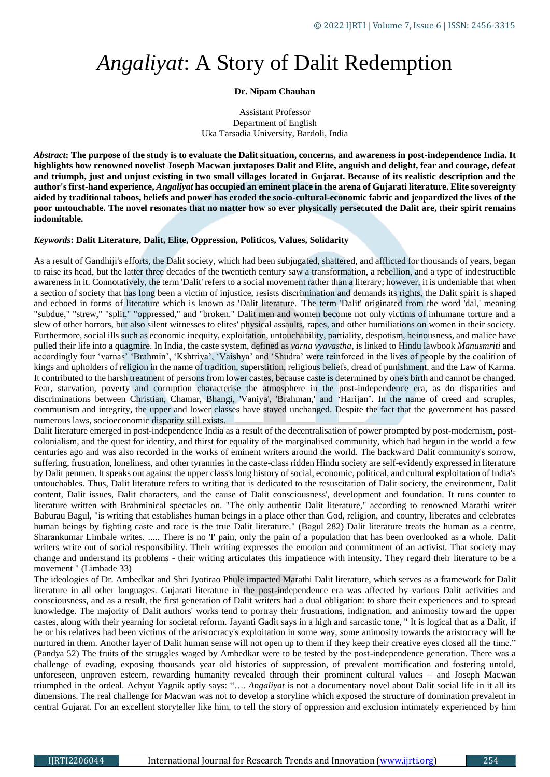## *Angaliyat*: A Story of Dalit Redemption

## **Dr. Nipam Chauhan**

Assistant Professor Department of English Uka Tarsadia University, Bardoli, India

*Abstract***: The purpose of the study is to evaluate the Dalit situation, concerns, and awareness in post-independence India. It highlights how renowned novelist Joseph Macwan juxtaposes Dalit and Elite, anguish and delight, fear and courage, defeat and triumph, just and unjust existing in two small villages located in Gujarat. Because of its realistic description and the author's first-hand experience,** *Angaliyat* **has occupied an eminent place in the arena of Gujarati literature. Elite sovereignty aided by traditional taboos, beliefs and power has eroded the socio-cultural-economic fabric and jeopardized the lives of the poor untouchable. The novel resonates that no matter how so ever physically persecuted the Dalit are, their spirit remains indomitable.**

## *Keywords***: Dalit Literature, Dalit, Elite, Oppression, Politicos, Values, Solidarity**

As a result of Gandhiji's efforts, the Dalit society, which had been subjugated, shattered, and afflicted for thousands of years, began to raise its head, but the latter three decades of the twentieth century saw a transformation, a rebellion, and a type of indestructible awareness in it. Connotatively, the term 'Dalit' refers to a social movement rather than a literary; however, it is undeniable that when a section of society that has long been a victim of injustice, resists discrimination and demands its rights, the Dalit spirit is shaped and echoed in forms of literature which is known as 'Dalit literature. 'The term 'Dalit' originated from the word 'dal,' meaning "subdue," "strew," "split," "oppressed," and "broken." Dalit men and women become not only victims of inhumane torture and a slew of other horrors, but also silent witnesses to elites' physical assaults, rapes, and other humiliations on women in their society. Furthermore, social ills such as economic inequity, exploitation, untouchability, partiality, despotism, heinousness, and malice have pulled their life into a quagmire. In India, the caste system, defined as *varna vyavastha*, is linked to Hindu lawbook *Manusmriti* and accordingly four 'varnas' 'Brahmin', 'Kshtriya', 'Vaishya' and 'Shudra' were reinforced in the lives of people by the coalition of kings and upholders of religion in the name of tradition, superstition, religious beliefs, dread of punishment, and the Law of Karma. It contributed to the harsh treatment of persons from lower castes, because caste is determined by one's birth and cannot be changed. Fear, starvation, poverty and corruption characterise the atmosphere in the post-independence era, as do disparities and discriminations between Christian, Chamar, Bhangi, 'Vaniya', 'Brahman,' and 'Harijan'. In the name of creed and scruples, communism and integrity, the upper and lower classes have stayed unchanged. Despite the fact that the government has passed numerous laws, socioeconomic disparity still exists.

Dalit literature emerged in post-independence India as a result of the decentralisation of power prompted by post-modernism, postcolonialism, and the quest for identity, and thirst for equality of the marginalised community, which had begun in the world a few centuries ago and was also recorded in the works of eminent writers around the world. The backward Dalit community's sorrow, suffering, frustration, loneliness, and other tyrannies in the caste-class ridden Hindu society are self-evidently expressed in literature by Dalit penmen. It speaks out against the upper class's long history of social, economic, political, and cultural exploitation of India's untouchables. Thus, Dalit literature refers to writing that is dedicated to the resuscitation of Dalit society, the environment, Dalit content, Dalit issues, Dalit characters, and the cause of Dalit consciousness', development and foundation. It runs counter to literature written with Brahminical spectacles on. "The only authentic Dalit literature," according to renowned Marathi writer Baburau Bagul, "is writing that establishes human beings in a place other than God, religion, and country, liberates and celebrates human beings by fighting caste and race is the true Dalit literature." (Bagul 282) Dalit literature treats the human as a centre, Sharankumar Limbale writes. ..... There is no 'I' pain, only the pain of a population that has been overlooked as a whole. Dalit writers write out of social responsibility. Their writing expresses the emotion and commitment of an activist. That society may change and understand its problems - their writing articulates this impatience with intensity. They regard their literature to be a movement " (Limbade 33)

The ideologies of Dr. Ambedkar and Shri Jyotirao Phule impacted Marathi Dalit literature, which serves as a framework for Dalit literature in all other languages. Gujarati literature in the post-independence era was affected by various Dalit activities and consciousness, and as a result, the first generation of Dalit writers had a dual obligation: to share their experiences and to spread knowledge. The majority of Dalit authors' works tend to portray their frustrations, indignation, and animosity toward the upper castes, along with their yearning for societal reform. Jayanti Gadit says in a high and sarcastic tone, " It is logical that as a Dalit, if he or his relatives had been victims of the aristocracy's exploitation in some way, some animosity towards the aristocracy will be nurtured in them. Another layer of Dalit human sense will not open up to them if they keep their creative eyes closed all the time." (Pandya 52) The fruits of the struggles waged by Ambedkar were to be tested by the post-independence generation. There was a challenge of evading, exposing thousands year old histories of suppression, of prevalent mortification and fostering untold, unforeseen, unproven esteem, rewarding humanity revealed through their prominent cultural values – and Joseph Macwan triumphed in the ordeal. Achyut Yagnik aptly says: "…. *Angaliyat* is not a documentary novel about Dalit social life in it all its dimensions. The real challenge for Macwan was not to develop a storyline which exposed the structure of domination prevalent in central Gujarat. For an excellent storyteller like him, to tell the story of oppression and exclusion intimately experienced by him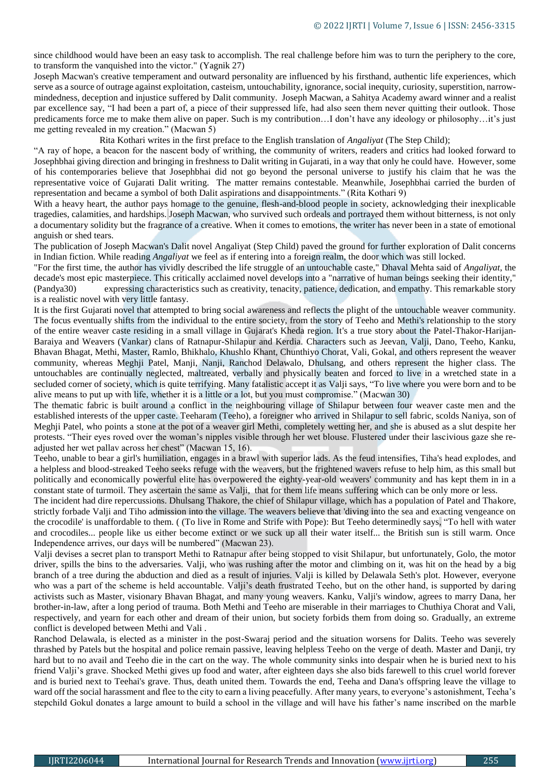since childhood would have been an easy task to accomplish. The real challenge before him was to turn the periphery to the core, to transform the vanquished into the victor." (Yagnik 27)

Joseph Macwan's creative temperament and outward personality are influenced by his firsthand, authentic life experiences, which serve as a source of outrage against exploitation, casteism, untouchability, ignorance, social inequity, curiosity, superstition, narrowmindedness, deception and injustice suffered by Dalit community. Joseph Macwan, a Sahitya Academy award winner and a realist par excellence say, "I had been a part of, a piece of their suppressed life, had also seen them never quitting their outlook. Those predicaments force me to make them alive on paper. Such is my contribution…I don't have any ideology or philosophy…it's just me getting revealed in my creation." (Macwan 5)

Rita Kothari writes in the first preface to the English translation of *Angaliyat* (The Step Child);

"A ray of hope, a beacon for the nascent body of writhing, the community of writers, readers and critics had looked forward to Josephbhai giving direction and bringing in freshness to Dalit writing in Gujarati, in a way that only he could have. However, some of his contemporaries believe that Josephbhai did not go beyond the personal universe to justify his claim that he was the representative voice of Gujarati Dalit writing. The matter remains contestable. Meanwhile, Josephbhai carried the burden of representation and became a symbol of both Dalit aspirations and disappointments." (Rita Kothari 9)

With a heavy heart, the author pays homage to the genuine, flesh-and-blood people in society, acknowledging their inexplicable tragedies, calamities, and hardships. Joseph Macwan, who survived such ordeals and portrayed them without bitterness, is not only a documentary solidity but the fragrance of a creative. When it comes to emotions, the writer has never been in a state of emotional anguish or shed tears.

The publication of Joseph Macwan's Dalit novel Angaliyat (Step Child) paved the ground for further exploration of Dalit concerns in Indian fiction. While reading *Angaliyat* we feel as if entering into a foreign realm, the door which was still locked.

"For the first time, the author has vividly described the life struggle of an untouchable caste," Dhaval Mehta said of *Angaliyat*, the decade's most epic masterpiece. This critically acclaimed novel develops into a "narrative of human beings seeking their identity," (Pandya30) expressing characteristics such as creativity, tenacity, patience, dedication, and empathy. This remarkable story is a realistic novel with very little fantasy.

It is the first Gujarati novel that attempted to bring social awareness and reflects the plight of the untouchable weaver community. The focus eventually shifts from the individual to the entire society, from the story of Teeho and Methi's relationship to the story of the entire weaver caste residing in a small village in Gujarat's Kheda region. It's a true story about the Patel-Thakor-Harijan-Baraiya and Weavers (Vankar) clans of Ratnapur-Shilapur and Kerdia. Characters such as Jeevan, Valji, Dano, Teeho, Kanku, Bhavan Bhagat, Methi, Master, Ramlo, Bhikhalo, Khushlo Khant, Chunthiyo Chorat, Vali, Gokal, and others represent the weaver community, whereas Meghji Patel, Manji, Nanji, Ranchod Delawalo, Dhulsang, and others represent the higher class. The untouchables are continually neglected, maltreated, verbally and physically beaten and forced to live in a wretched state in a secluded corner of society, which is quite terrifying. Many fatalistic accept it as Valji says, "To live where you were born and to be alive means to put up with life, whether it is a little or a lot, but you must compromise." (Macwan 30)

The thematic fabric is built around a conflict in the neighbouring village of Shilapur between four weaver caste men and the established interests of the upper caste. Teeharam (Teeho), a foreigner who arrived in Shilapur to sell fabric, scolds Naniya, son of Meghji Patel, who points a stone at the pot of a weaver girl Methi, completely wetting her, and she is abused as a slut despite her protests. "Their eyes roved over the woman's nipples visible through her wet blouse. Flustered under their lascivious gaze she readjusted her wet pallav across her chest" (Macwan 15, 16).

Teeho, unable to bear a girl's humiliation, engages in a brawl with superior lads. As the feud intensifies, Tiha's head explodes, and a helpless and blood-streaked Teeho seeks refuge with the weavers, but the frightened wavers refuse to help him, as this small but politically and economically powerful elite has overpowered the eighty-year-old weavers' community and has kept them in in a constant state of turmoil. They ascertain the same as Valji, that for them life means suffering which can be only more or less.

The incident had dire repercussions. Dhulsang Thakore, the chief of Shilapur village, which has a population of Patel and Thakore, strictly forbade Valji and Tiho admission into the village. The weavers believe that 'diving into the sea and exacting vengeance on the crocodile' is unaffordable to them. ( (To live in Rome and Strife with Pope): But Teeho determinedly says, "To hell with water and crocodiles... people like us either become extinct or we suck up all their water itself... the British sun is still warm. Once Independence arrives, our days will be numbered" (Macwan 23).

Valji devises a secret plan to transport Methi to Ratnapur after being stopped to visit Shilapur, but unfortunately, Golo, the motor driver, spills the bins to the adversaries. Valji, who was rushing after the motor and climbing on it, was hit on the head by a big branch of a tree during the abduction and died as a result of injuries. Valji is killed by Delawala Seth's plot. However, everyone who was a part of the scheme is held accountable. Valji's death frustrated Teeho, but on the other hand, is supported by daring activists such as Master, visionary Bhavan Bhagat, and many young weavers. Kanku, Valji's window, agrees to marry Dana, her brother-in-law, after a long period of trauma. Both Methi and Teeho are miserable in their marriages to Chuthiya Chorat and Vali, respectively, and yearn for each other and dream of their union, but society forbids them from doing so. Gradually, an extreme conflict is developed between Methi and Vali .

Ranchod Delawala, is elected as a minister in the post-Swaraj period and the situation worsens for Dalits. Teeho was severely thrashed by Patels but the hospital and police remain passive, leaving helpless Teeho on the verge of death. Master and Danji, try hard but to no avail and Teeho die in the cart on the way. The whole community sinks into despair when he is buried next to his friend Valji's grave. Shocked Methi gives up food and water, after eighteen days she also bids farewell to this cruel world forever and is buried next to Teehai's grave. Thus, death united them. Towards the end, Teeha and Dana's offspring leave the village to ward off the social harassment and flee to the city to earn a living peacefully. After many years, to everyone's astonishment, Teeha's stepchild Gokul donates a large amount to build a school in the village and will have his father's name inscribed on the marble